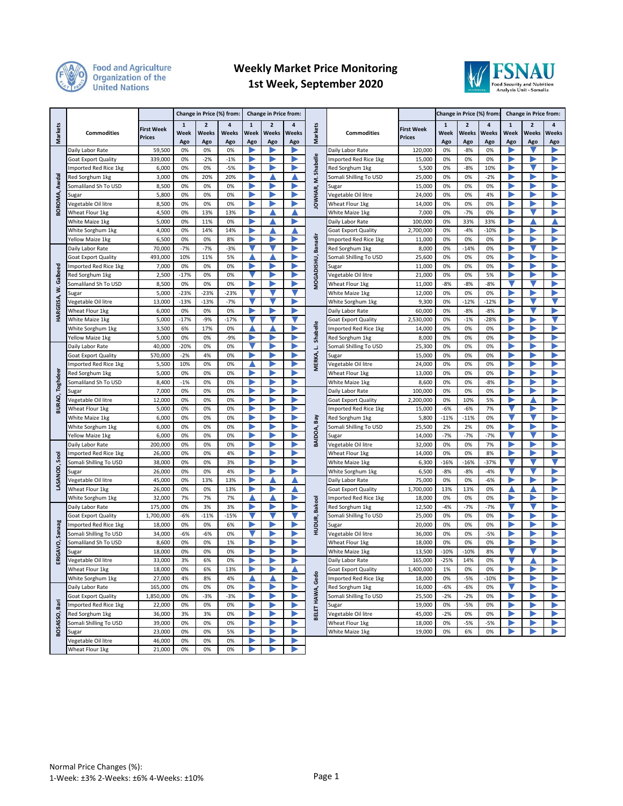

## **Food and Agriculture<br>Organization of the<br>United Nations**

## **Weekly Market Price Monitoring 1st Week, September 2020**



|                       |                                        |                                    | Change in Price (%) from: |                                |                   | <b>Change in Price from:</b> |                                |                   |                                                |                                          |                             | Change in Price (%) from:   |                                |                   | Change in Price from:       |                                |                   |
|-----------------------|----------------------------------------|------------------------------------|---------------------------|--------------------------------|-------------------|------------------------------|--------------------------------|-------------------|------------------------------------------------|------------------------------------------|-----------------------------|-----------------------------|--------------------------------|-------------------|-----------------------------|--------------------------------|-------------------|
| <b>Markets</b>        | <b>Commodities</b>                     | <b>First Week</b><br><b>Prices</b> | 1<br>Week<br>Ago          | $\overline{2}$<br>Weeks<br>Ago | 4<br>Weeks<br>Ago | $\mathbf{1}$<br>Week<br>Ago  | $\overline{2}$<br>Weeks<br>Ago | 4<br>Weeks<br>Ago | Markets                                        | <b>Commodities</b>                       | <b>First Week</b><br>Prices | $\mathbf{1}$<br>Week<br>Ago | $\overline{2}$<br>Weeks<br>Ago | 4<br>Weeks<br>Ago | $\mathbf{1}$<br>Week<br>Ago | $\overline{2}$<br>Weeks<br>Ago | 4<br>Weeks<br>Ago |
| Awdal                 | Daily Labor Rate                       | 59,500                             | 0%                        | 0%                             | 0%                |                              | ▶                              |                   |                                                | Daily Labor Rate                         | 120,000                     | 0%                          | $-8%$                          | 0%                |                             |                                | ▶                 |
|                       | <b>Goat Export Quality</b>             | 339,000                            | 0%                        | $-2%$                          | $-1%$             | ▶                            | ▶                              | ▶                 | Shabelle                                       | Imported Red Rice 1kg                    | 15,000                      | 0%                          | 0%                             | 0%                | ▶                           | D                              | ▶                 |
|                       | Imported Red Rice 1kg                  | 6,000                              | 0%                        | 0%                             | $-5%$             | Þ                            | ▶                              |                   |                                                | Red Sorghum 1kg                          | 5,500                       | 0%                          | $-8%$                          | 10%               |                             |                                | ь                 |
|                       | Red Sorghum 1kg                        | 3,000                              | 0%                        | 20%                            | 20%               | ▶                            | ▲                              |                   | έ                                              | Somali Shilling To USD                   | 25,000                      | 0%                          | 0%                             | -2%               |                             | ▶                              | ▶                 |
|                       | Somaliland Sh To USD                   | 8,500                              | 0%                        | 0%                             | 0%                | ▶                            | ▶                              |                   |                                                | Sugar                                    | 15,000                      | 0%                          | 0%                             | 0%                |                             | Þ                              | ▶                 |
|                       | Sugar                                  | 5,800                              | 0%                        | 0%                             | 0%                | ▶                            | ▶                              |                   |                                                | Vegetable Oil litre                      | 24,000                      | 0%                          | 0%                             | 4%                |                             | n                              | ▶                 |
| BOROMA,               | Vegetable Oil litre                    | 8,500                              | 0%                        | 0%                             | 0%                | ▶                            | ▶                              |                   | IOWHAR,                                        | Wheat Flour 1kg                          | 14,000                      | 0%                          | 0%                             | 0%                |                             |                                | ▶                 |
|                       | Wheat Flour 1kg                        | 4,500                              | 0%                        | 13%                            | 13%               |                              |                                |                   |                                                | White Maize 1kg                          | 7,000                       | 0%                          | $-7%$                          | 0%                |                             |                                |                   |
|                       | White Maize 1kg                        | 5,000                              | 0%                        | 11%                            | 0%                |                              |                                |                   |                                                | Daily Labor Rate                         | 100,000                     | 0%                          | 33%                            | 33%               |                             |                                |                   |
|                       | White Sorghum 1kg                      | 4,000                              | 0%                        | 14%                            | 14%               |                              |                                |                   |                                                | <b>Goat Export Quality</b>               | 2,700,000                   | 0%                          | $-4%$                          | $-10%$            |                             |                                |                   |
|                       | Yellow Maize 1kg                       | 6,500                              | 0%                        | 0%                             | 8%                |                              |                                |                   | Banadir                                        | Imported Red Rice 1kg                    | 11,000                      | 0%                          | 0%                             | 0%                |                             |                                |                   |
|                       | Daily Labor Rate                       | 70,000                             | $-7%$                     | $-7%$                          | $-3%$             |                              |                                |                   |                                                | Red Sorghum 1kg                          | 8,000                       | 0%                          | $-14%$                         | 0%                |                             |                                |                   |
|                       | <b>Goat Export Quality</b>             | 493,000                            | 10%                       | 11%                            | 5%                |                              |                                |                   | MOGADISHU,                                     | Somali Shilling To USD                   | 25,600                      | 0%                          | 0%                             | 0%                | ∍                           |                                | Þ                 |
|                       | Imported Red Rice 1kg                  | 7,000                              | 0%                        | 0%                             | 0%                | ▶                            | ▶                              |                   |                                                | Sugar                                    | 11,000                      | 0%                          | 0%                             | 0%                |                             |                                | ь                 |
| Galbeed               | Red Sorghum 1kg                        | 2,500                              | $-17%$                    | 0%                             | 0%                | v                            | ▶                              |                   |                                                | Vegetable Oil litre                      | 21,000                      | 0%                          | 0%                             | 5%                |                             |                                | ▶                 |
|                       | Somaliland Sh To USD                   | 8,500                              | 0%                        | 0%                             | 0%                | Þ                            | ▶                              | ▶                 |                                                | Wheat Flour 1kg                          | 11,000                      | $-8%$                       | $-8%$                          | $-8%$             |                             |                                | Þ                 |
|                       | Sugar                                  | 5,000                              | -23%                      | -23%                           | -23%              |                              |                                |                   |                                                | White Maize 1kg                          | 12,000                      | 0%                          | 0%                             | 0%                |                             | Þ                              | ▶                 |
| HARGEISA, W.          | Vegetable Oil litre                    | 13,000                             | $-13%$                    | $-13%$                         | $-7%$             |                              |                                | Þ                 |                                                | White Sorghum 1kg                        | 9,300                       | 0%                          | $-12%$                         | $-12%$            |                             |                                |                   |
|                       | Wheat Flour 1kg                        | 6,000                              | 0%                        | 0%                             | 0%                |                              |                                |                   |                                                | Daily Labor Rate                         | 60,000                      | 0%                          | $-8%$                          | $-8%$             |                             |                                |                   |
|                       | White Maize 1kg                        | 5,000                              | $-17%$                    | $-9%$                          | $-17%$            |                              |                                |                   | Shabelle                                       | Goat Export Quality                      | 2,530,000                   | 0%                          | $-1%$                          | $-28%$            |                             |                                |                   |
|                       | White Sorghum 1kg                      | 3,500                              | 6%                        | 17%                            | 0%                |                              |                                |                   |                                                | Imported Red Rice 1kg                    | 14,000                      | 0%                          | 0%                             | 0%                |                             |                                |                   |
|                       | Yellow Maize 1kg                       | 5,000                              | 0%                        | 0%                             | $-9%$             |                              |                                |                   |                                                | Red Sorghum 1kg                          | 8,000                       | 0%                          | 0%                             | 0%                |                             |                                |                   |
|                       | Daily Labor Rate                       | 40,000                             | $-20%$                    | 0%                             | 0%                |                              |                                |                   |                                                | Somali Shilling To USD                   | 25,300                      | 0%                          | 0%                             | 0%                |                             |                                |                   |
|                       | <b>Goat Export Quality</b>             | 570,000                            | $-2%$                     | 4%                             | 0%                |                              |                                |                   | MERKA, L.                                      | Sugar                                    | 15,000                      | 0%                          | 0%                             | 0%                |                             |                                |                   |
|                       | Imported Red Rice 1kg                  | 5,500                              | 10%                       | 0%                             | 0%                |                              |                                |                   |                                                | Vegetable Oil litre                      | 24,000                      | 0%                          | 0%                             | 0%                |                             |                                |                   |
|                       | Red Sorghum 1kg                        | 5,000                              | 0%                        | 0%                             | 0%                | ▶                            | Þ                              |                   |                                                | Wheat Flour 1kg                          | 13,000                      | 0%                          | 0%                             | 0%                |                             |                                | Þ                 |
| <b>BURAO, Toghdee</b> | Somaliland Sh To USD                   | 8,400                              | $-1%$                     | 0%                             | 0%                |                              | Þ                              |                   |                                                | White Maize 1kg                          | 8,600                       | 0%                          | 0%                             | $-8%$             |                             |                                | ь                 |
|                       | Sugar                                  | 7,000                              | 0%                        | 0%                             | 0%                | ▶                            | Þ                              | Þ                 | Bay<br>BAIDOA,                                 | Daily Labor Rate                         | 100,000                     | 0%                          | 0%                             | 0%                |                             |                                | Þ                 |
|                       | Vegetable Oil litre                    | 12,000                             | 0%                        | 0%                             | 0%                | ▶                            | ▶                              |                   |                                                | <b>Goat Export Quality</b>               | 2,200,000                   | 0%                          | 10%                            | 5%                |                             |                                | Þ                 |
|                       | Wheat Flour 1kg                        | 5,000                              | 0%                        | 0%                             | 0%                | ▶                            | ▶                              |                   |                                                | Imported Red Rice 1kg                    | 15,000                      | $-6%$                       | $-6%$                          | 7%                |                             | D                              | ▶                 |
|                       | White Maize 1kg                        | 6,000                              | 0%                        | 0%                             | 0%                | ▶                            | ▶                              |                   |                                                | Red Sorghum 1kg                          | 5,800                       | $-11%$                      | $-11%$                         | 0%                |                             |                                | ▶                 |
|                       | White Sorghum 1kg                      | 6,000                              | 0%                        | 0%                             | 0%                |                              |                                |                   |                                                | Somali Shilling To USD                   | 25,500                      | 2%                          | 2%                             | 0%                |                             |                                |                   |
|                       | Yellow Maize 1kg                       | 6,000                              | 0%                        | 0%                             | 0%                |                              | ▶                              |                   |                                                | Sugar                                    | 14,000                      | $-7%$                       | $-7%$                          | $-7%$             |                             |                                |                   |
|                       | Daily Labor Rate                       | 200,000                            | 0%                        | 0%                             | 0%                |                              |                                |                   |                                                | Vegetable Oil litre                      | 32,000                      | 0%                          | 0%                             | 7%                |                             |                                |                   |
|                       | Imported Red Rice 1kg                  | 26,000                             | 0%                        | 0%                             | 4%                |                              |                                |                   |                                                | Wheat Flour 1kg                          | 14,000                      | 0%                          | 0%                             | 8%                |                             |                                |                   |
| LASANOD, Sool         | Somali Shilling To USD                 | 38,000                             | 0%                        | 0%                             | 3%                |                              |                                |                   |                                                | White Maize 1kg                          | 6,300                       | $-16%$                      | $-16%$                         | -37%              |                             |                                |                   |
|                       | Sugar                                  | 26,000<br>45,000                   | 0%<br>0%                  | 0%<br>13%                      | 4%<br>13%         |                              |                                |                   |                                                | White Sorghum 1kg                        | 6,500                       | $-8%$<br>0%                 | $-8%$<br>0%                    | $-4%$<br>$-6%$    |                             |                                | ь                 |
|                       | Vegetable Oil litre<br>Wheat Flour 1kg | 26,000                             | 0%                        | 0%                             | 13%               | ▶                            | ▶                              |                   | <b>Bakool</b><br>HUDUR,<br>Gedo<br>BELET HAWA, | Daily Labor Rate                         | 75,000<br>1,700,000         | 13%                         | 13%                            | 0%                |                             |                                | Þ                 |
|                       |                                        |                                    |                           |                                |                   |                              |                                | Þ                 |                                                | <b>Goat Export Quality</b>               |                             |                             |                                |                   | ▶                           | Þ                              | Þ                 |
| Sanaag<br>ERIGAVO,    | White Sorghum 1kg<br>Daily Labor Rate  | 32,000<br>175,000                  | 7%<br>0%                  | 7%<br>3%                       | 7%<br>3%          | ▶                            | ▲<br>▶                         | Þ                 |                                                | Imported Red Rice 1kg<br>Red Sorghum 1kg | 18,000<br>12,500            | 0%<br>$-4%$                 | 0%<br>$-7%$                    | 0%<br>$-7%$       |                             |                                | Þ                 |
|                       | <b>Goat Export Quality</b>             | 1,700,000                          | $-6%$                     | $-11%$                         | $-15%$            |                              |                                |                   |                                                | Somali Shilling To USD                   | 25,000                      | 0%                          | 0%                             | 0%                |                             | Þ                              | ▶                 |
|                       | Imported Red Rice 1kg                  | 18,000                             | 0%                        | 0%                             | 6%                | ∍                            | ▶                              |                   |                                                | Sugar                                    | 20,000                      | 0%                          | 0%                             | 0%                |                             | D                              | D                 |
|                       | Somali Shilling To USD                 | 34,000                             | $-6%$                     | $-6%$                          | 0%                |                              | ▶                              | D                 |                                                | Vegetable Oil litre                      | 36,000                      | 0%                          | 0%                             | $-5%$             |                             | D                              | ▶                 |
|                       | Somaliland Sh To USD                   | 8,600                              | 0%                        | 0%                             | 1%                |                              |                                |                   |                                                | Wheat Flour 1kg                          | 18,000                      | 0%                          | 0%                             | 0%                |                             |                                |                   |
|                       | Sugar                                  | 18,000                             | 0%                        | 0%                             | 0%                |                              |                                |                   |                                                | White Maize 1kg                          | 13,500                      | $-10%$                      | $-10%$                         | 8%                |                             |                                |                   |
|                       | Vegetable Oil litre                    | 33,000                             | 3%                        | 6%                             | 0%                |                              |                                |                   |                                                | Daily Labor Rate                         | 165,000                     | $-25%$                      | 14%                            | 0%                |                             |                                |                   |
|                       | Wheat Flour 1kg                        | 18,000                             | 0%                        | 6%                             | 13%               |                              | ▶                              |                   |                                                | Goat Export Quality                      | 1,400,000                   | 1%                          | 0%                             | 0%                |                             |                                |                   |
|                       | White Sorghum 1kg                      | 27,000                             | 4%                        | 8%                             | 4%                |                              |                                |                   |                                                | Imported Red Rice 1kg                    | 18,000                      | 0%                          | -5%                            | $-10%$            |                             |                                | ▶                 |
| Bari<br>BOSASSO,      | Daily Labor Rate                       | 165,000                            | 0%                        | 0%                             | 0%                | ▶                            | ▶                              | Þ                 |                                                | Red Sorghum 1kg                          | 16,000                      | $-6%$                       | -6%                            | 0%                |                             | ▶                              | ▶                 |
|                       | Goat Export Quality                    | 1,850,000                          | 0%                        | $-3%$                          | $-3%$             | ▶                            | ▶                              | ь                 |                                                | Somali Shilling To USD                   | 25,500                      | $-2%$                       | $-2%$                          | 0%                | ▶                           | ▶                              | ▶                 |
|                       | Imported Red Rice 1kg                  | 22,000                             | 0%                        | 0%                             | 0%                | ▶                            | ▶                              | Þ                 |                                                | Sugar                                    | 19,000                      | 0%                          | -5%                            | 0%                | ▶                           | ▶                              | ▶                 |
|                       | Red Sorghum 1kg                        | 36,000                             | 3%                        | 3%                             | 0%                | ▶                            | ▶                              | ▶                 |                                                | Vegetable Oil litre                      | 45,000                      | $-2%$                       | 0%                             | 0%                | ▶                           | ▶                              | ▶                 |
|                       | Somali Shilling To USD                 | 39,000                             | 0%                        | 0%                             | 0%                | ▶                            | ▶                              | ▶                 |                                                | Wheat Flour 1kg                          | 18,000                      | 0%                          | -5%                            | $-5%$             | ▶                           | ▶                              | ▶                 |
|                       | Sugar                                  | 23,000                             | 0%                        | 0%                             | 5%                | ▶                            | ▶                              | ▶                 |                                                | White Maize 1kg                          | 19,000                      | 0%                          | 6%                             | 0%                | ▶                           | ▶                              | ▶                 |
|                       | Vegetable Oil litre                    | 46,000                             | 0%                        | 0%                             | 0%                | ▶                            | ▶                              | ▶                 |                                                |                                          |                             |                             |                                |                   |                             |                                |                   |
|                       | Wheat Flour 1kg                        | 21,000                             | 0%                        | 0%                             | 0%                | ▶                            | ▶                              |                   |                                                |                                          |                             |                             |                                |                   |                             |                                |                   |